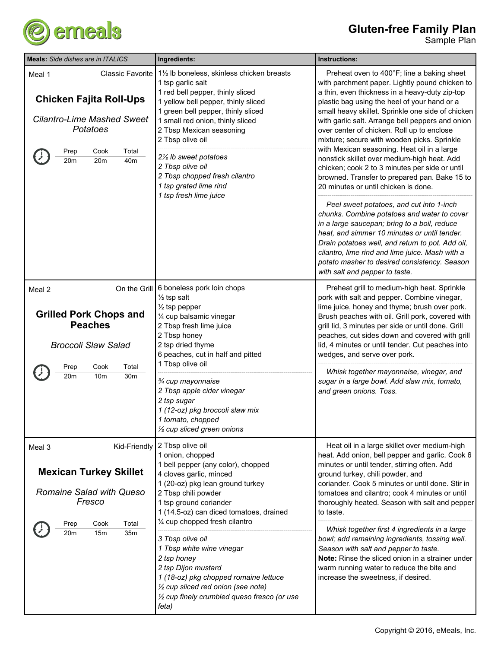

| <b>Meals:</b> Side dishes are in ITALICS                                                                                                                           | Ingredients:                                                                                                                                                                                                                                                                                                                                                                                                                                                                                                           | Instructions:                                                                                                                                                                                                                                                                                                                                                                                                                                                                                                                                                                                                                                                                                                                                                                                                                                                                                                                                                                                                                     |
|--------------------------------------------------------------------------------------------------------------------------------------------------------------------|------------------------------------------------------------------------------------------------------------------------------------------------------------------------------------------------------------------------------------------------------------------------------------------------------------------------------------------------------------------------------------------------------------------------------------------------------------------------------------------------------------------------|-----------------------------------------------------------------------------------------------------------------------------------------------------------------------------------------------------------------------------------------------------------------------------------------------------------------------------------------------------------------------------------------------------------------------------------------------------------------------------------------------------------------------------------------------------------------------------------------------------------------------------------------------------------------------------------------------------------------------------------------------------------------------------------------------------------------------------------------------------------------------------------------------------------------------------------------------------------------------------------------------------------------------------------|
| <b>Classic Favorite</b><br>Meal 1<br><b>Chicken Fajita Roll-Ups</b><br><b>Cilantro-Lime Mashed Sweet</b><br>Potatoes<br>Cook<br>Total<br>Prep<br>20m<br>20m<br>40m | 11/2 lb boneless, skinless chicken breasts<br>1 tsp garlic salt<br>1 red bell pepper, thinly sliced<br>1 yellow bell pepper, thinly sliced<br>1 green bell pepper, thinly sliced<br>1 small red onion, thinly sliced<br>2 Tbsp Mexican seasoning<br>2 Tbsp olive oil<br>2½ lb sweet potatoes<br>2 Tbsp olive oil<br>2 Tbsp chopped fresh cilantro<br>1 tsp grated lime rind<br>1 tsp fresh lime juice                                                                                                                  | Preheat oven to 400°F; line a baking sheet<br>with parchment paper. Lightly pound chicken to<br>a thin, even thickness in a heavy-duty zip-top<br>plastic bag using the heel of your hand or a<br>small heavy skillet. Sprinkle one side of chicken<br>with garlic salt. Arrange bell peppers and onion<br>over center of chicken. Roll up to enclose<br>mixture; secure with wooden picks. Sprinkle<br>with Mexican seasoning. Heat oil in a large<br>nonstick skillet over medium-high heat. Add<br>chicken; cook 2 to 3 minutes per side or until<br>browned. Transfer to prepared pan. Bake 15 to<br>20 minutes or until chicken is done.<br>Peel sweet potatoes, and cut into 1-inch<br>chunks. Combine potatoes and water to cover<br>in a large saucepan; bring to a boil, reduce<br>heat, and simmer 10 minutes or until tender.<br>Drain potatoes well, and return to pot. Add oil,<br>cilantro, lime rind and lime juice. Mash with a<br>potato masher to desired consistency. Season<br>with salt and pepper to taste. |
| Meal 2<br><b>Grilled Pork Chops and</b><br><b>Peaches</b><br><b>Broccoli Slaw Salad</b><br>Cook<br>Total<br>Prep<br>20m<br>10 <sub>m</sub><br>30m                  | On the Grill 6 boneless pork loin chops<br>$\frac{1}{2}$ tsp salt<br>$\frac{1}{2}$ tsp pepper<br>1/4 cup balsamic vinegar<br>2 Tbsp fresh lime juice<br>2 Tbsp honey<br>2 tsp dried thyme<br>6 peaches, cut in half and pitted<br>1 Tbsp olive oil<br>3⁄4 cup mayonnaise<br>2 Tbsp apple cider vinegar<br>2 tsp sugar<br>1 (12-oz) pkg broccoli slaw mix<br>1 tomato, chopped<br>$\frac{1}{2}$ cup sliced green onions                                                                                                 | Preheat grill to medium-high heat. Sprinkle<br>pork with salt and pepper. Combine vinegar,<br>lime juice, honey and thyme; brush over pork.<br>Brush peaches with oil. Grill pork, covered with<br>grill lid, 3 minutes per side or until done. Grill<br>peaches, cut sides down and covered with grill<br>lid, 4 minutes or until tender. Cut peaches into<br>wedges, and serve over pork.<br>Whisk together mayonnaise, vinegar, and<br>sugar in a large bowl. Add slaw mix, tomato,<br>and green onions. Toss.                                                                                                                                                                                                                                                                                                                                                                                                                                                                                                                 |
| Meal 3<br><b>Mexican Turkey Skillet</b><br><b>Romaine Salad with Queso</b><br>Fresco<br>Total<br>Cook<br>Prep<br>20m<br>15m<br>35m                                 | Kid-Friendly   2 Tbsp olive oil<br>1 onion, chopped<br>1 bell pepper (any color), chopped<br>4 cloves garlic, minced<br>1 (20-oz) pkg lean ground turkey<br>2 Tbsp chili powder<br>1 tsp ground coriander<br>1 (14.5-oz) can diced tomatoes, drained<br>1/4 cup chopped fresh cilantro<br>3 Tbsp olive oil<br>1 Tbsp white wine vinegar<br>2 tsp honey<br>2 tsp Dijon mustard<br>1 (18-oz) pkg chopped romaine lettuce<br>1/2 cup sliced red onion (see note)<br>1/2 cup finely crumbled queso fresco (or use<br>feta) | Heat oil in a large skillet over medium-high<br>heat. Add onion, bell pepper and garlic. Cook 6<br>minutes or until tender, stirring often. Add<br>ground turkey, chili powder, and<br>coriander. Cook 5 minutes or until done. Stir in<br>tomatoes and cilantro; cook 4 minutes or until<br>thoroughly heated. Season with salt and pepper<br>to taste.<br>Whisk together first 4 ingredients in a large<br>bowl; add remaining ingredients, tossing well.<br>Season with salt and pepper to taste.<br>Note: Rinse the sliced onion in a strainer under<br>warm running water to reduce the bite and<br>increase the sweetness, if desired.                                                                                                                                                                                                                                                                                                                                                                                      |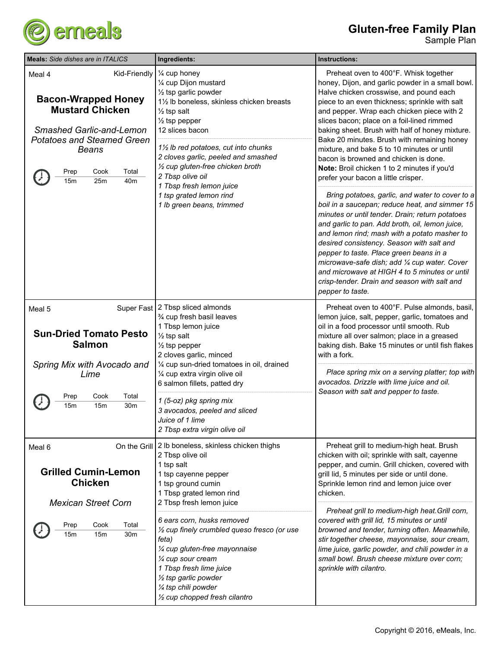

| <b>Meals:</b> Side dishes are in ITALICS                                                                                                                                                                                         | Ingredients:                                                                                                                                                                                                                                                                                                                                                                                                                                             | Instructions:                                                                                                                                                                                                                                                                                                                                                                                                                                                                                                                                                                                                                                                                                                                                                                                                                                                                                                                                                                                                                                                                              |
|----------------------------------------------------------------------------------------------------------------------------------------------------------------------------------------------------------------------------------|----------------------------------------------------------------------------------------------------------------------------------------------------------------------------------------------------------------------------------------------------------------------------------------------------------------------------------------------------------------------------------------------------------------------------------------------------------|--------------------------------------------------------------------------------------------------------------------------------------------------------------------------------------------------------------------------------------------------------------------------------------------------------------------------------------------------------------------------------------------------------------------------------------------------------------------------------------------------------------------------------------------------------------------------------------------------------------------------------------------------------------------------------------------------------------------------------------------------------------------------------------------------------------------------------------------------------------------------------------------------------------------------------------------------------------------------------------------------------------------------------------------------------------------------------------------|
| Kid-Friendly<br>Meal 4<br><b>Bacon-Wrapped Honey</b><br><b>Mustard Chicken</b><br><b>Smashed Garlic-and-Lemon</b><br><b>Potatoes and Steamed Green</b><br><b>Beans</b><br>Cook<br>Total<br>Prep<br>15m<br>25m<br>40 <sub>m</sub> | 1⁄4 cup honey<br>1/4 cup Dijon mustard<br>$\frac{1}{2}$ tsp garlic powder<br>11/2 lb boneless, skinless chicken breasts<br>$\frac{1}{2}$ tsp salt<br>$\frac{1}{2}$ tsp pepper<br>12 slices bacon<br>11/2 lb red potatoes, cut into chunks<br>2 cloves garlic, peeled and smashed<br>1/2 cup gluten-free chicken broth<br>2 Tbsp olive oil<br>1 Tbsp fresh lemon juice<br>1 tsp grated lemon rind<br>1 lb green beans, trimmed                            | Preheat oven to 400°F. Whisk together<br>honey, Dijon, and garlic powder in a small bowl.<br>Halve chicken crosswise, and pound each<br>piece to an even thickness; sprinkle with salt<br>and pepper. Wrap each chicken piece with 2<br>slices bacon; place on a foil-lined rimmed<br>baking sheet. Brush with half of honey mixture.<br>Bake 20 minutes. Brush with remaining honey<br>mixture, and bake 5 to 10 minutes or until<br>bacon is browned and chicken is done.<br>Note: Broil chicken 1 to 2 minutes if you'd<br>prefer your bacon a little crisper.<br>Bring potatoes, garlic, and water to cover to a<br>boil in a saucepan; reduce heat, and simmer 15<br>minutes or until tender. Drain; return potatoes<br>and garlic to pan. Add broth, oil, lemon juice,<br>and lemon rind; mash with a potato masher to<br>desired consistency. Season with salt and<br>pepper to taste. Place green beans in a<br>microwave-safe dish; add 1/4 cup water. Cover<br>and microwave at HIGH 4 to 5 minutes or until<br>crisp-tender. Drain and season with salt and<br>pepper to taste. |
| Meal 5<br><b>Sun-Dried Tomato Pesto</b><br><b>Salmon</b><br>Spring Mix with Avocado and<br>Lime<br>Prep<br>Cook<br>Total<br>15m<br>15m<br>30m                                                                                    | Super Fast 2 Tbsp sliced almonds<br>3⁄4 cup fresh basil leaves<br>1 Tbsp lemon juice<br>$\frac{1}{2}$ tsp salt<br>$\frac{1}{2}$ tsp pepper<br>2 cloves garlic, minced<br>1/4 cup sun-dried tomatoes in oil, drained<br>1/4 cup extra virgin olive oil<br>6 salmon fillets, patted dry<br>1 (5-oz) pkg spring mix<br>3 avocados, peeled and sliced<br>Juice of 1 lime<br>2 Tbsp extra virgin olive oil                                                    | Preheat oven to 400°F. Pulse almonds, basil,<br>lemon juice, salt, pepper, garlic, tomatoes and<br>oil in a food processor until smooth. Rub<br>mixture all over salmon; place in a greased<br>baking dish. Bake 15 minutes or until fish flakes<br>with a fork.<br>Place spring mix on a serving platter; top with<br>avocados. Drizzle with lime juice and oil.<br>Season with salt and pepper to taste.                                                                                                                                                                                                                                                                                                                                                                                                                                                                                                                                                                                                                                                                                 |
| Meal 6<br><b>Grilled Cumin-Lemon</b><br><b>Chicken</b><br><b>Mexican Street Corn</b><br>Cook<br>Total<br>Prep<br>15m<br>15m<br>30m                                                                                               | On the Grill 2 lb boneless, skinless chicken thighs<br>2 Tbsp olive oil<br>1 tsp salt<br>1 tsp cayenne pepper<br>1 tsp ground cumin<br>1 Tbsp grated lemon rind<br>2 Tbsp fresh lemon juice<br>6 ears corn, husks removed<br>1/2 cup finely crumbled queso fresco (or use<br>feta)<br>1/4 cup gluten-free mayonnaise<br>1/4 cup sour cream<br>1 Tbsp fresh lime juice<br>1/2 tsp garlic powder<br>1/4 tsp chili powder<br>1/2 cup chopped fresh cilantro | Preheat grill to medium-high heat. Brush<br>chicken with oil; sprinkle with salt, cayenne<br>pepper, and cumin. Grill chicken, covered with<br>grill lid, 5 minutes per side or until done.<br>Sprinkle lemon rind and lemon juice over<br>chicken.<br>Preheat grill to medium-high heat. Grill corn,<br>covered with grill lid, 15 minutes or until<br>browned and tender, turning often. Meanwhile,<br>stir together cheese, mayonnaise, sour cream,<br>lime juice, garlic powder, and chili powder in a<br>small bowl. Brush cheese mixture over corn;<br>sprinkle with cilantro.                                                                                                                                                                                                                                                                                                                                                                                                                                                                                                       |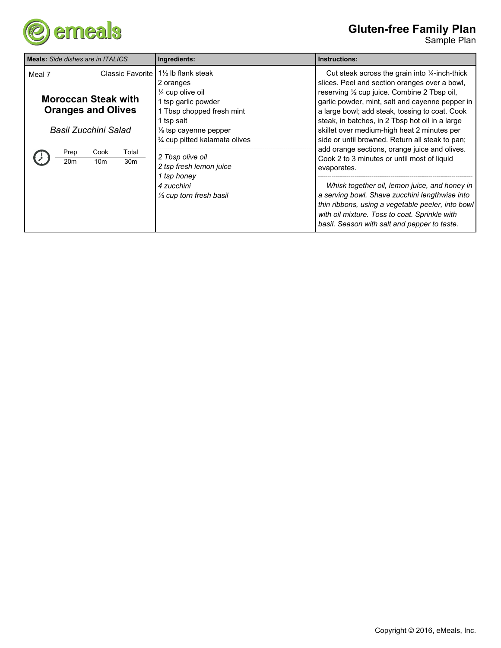

## **Gluten-free Family Plan**

| <b>I Meals:</b> Side dishes are in ITALICS                                                | Ingredients:                                                                                                                                                                           | Instructions:                                                                                                                                                                                                                                                                                                                                                                                                                                                                                                                                                                                                                                                                               |
|-------------------------------------------------------------------------------------------|----------------------------------------------------------------------------------------------------------------------------------------------------------------------------------------|---------------------------------------------------------------------------------------------------------------------------------------------------------------------------------------------------------------------------------------------------------------------------------------------------------------------------------------------------------------------------------------------------------------------------------------------------------------------------------------------------------------------------------------------------------------------------------------------------------------------------------------------------------------------------------------------|
| Meal 7<br><b>Moroccan Steak with</b><br><b>Oranges and Olives</b><br>Basil Zucchini Salad | Classic Favorite   1½ lb flank steak<br>2 oranges<br>$\frac{1}{4}$ cup olive oil<br>1 tsp garlic powder<br>1 Tbsp chopped fresh mint<br>1 tsp salt<br>$\frac{1}{2}$ tsp cayenne pepper | Cut steak across the grain into $\frac{1}{4}$ -inch-thick<br>slices. Peel and section oranges over a bowl,<br>reserving 1/2 cup juice. Combine 2 Tbsp oil,<br>garlic powder, mint, salt and cayenne pepper in<br>a large bowl; add steak, tossing to coat. Cook<br>steak, in batches, in 2 Tbsp hot oil in a large<br>skillet over medium-high heat 2 minutes per<br>side or until browned. Return all steak to pan;<br>add orange sections, orange juice and olives.<br>Cook 2 to 3 minutes or until most of liquid<br>evaporates.<br>Whisk together oil, lemon juice, and honey in<br>a serving bowl. Shave zucchini lengthwise into<br>thin ribbons, using a vegetable peeler, into bowl |
| Total<br>Prep<br>Cook<br>20 <sub>m</sub><br>30 <sub>m</sub><br>10 <sub>m</sub>            | % cup pitted kalamata olives<br>2 Tbsp olive oil<br>2 tsp fresh lemon juice<br>1 tsp honey<br>4 zucchini<br>1/ <sub>3</sub> cup torn fresh basil                                       |                                                                                                                                                                                                                                                                                                                                                                                                                                                                                                                                                                                                                                                                                             |
|                                                                                           |                                                                                                                                                                                        | with oil mixture. Toss to coat. Sprinkle with<br>basil. Season with salt and pepper to taste.                                                                                                                                                                                                                                                                                                                                                                                                                                                                                                                                                                                               |